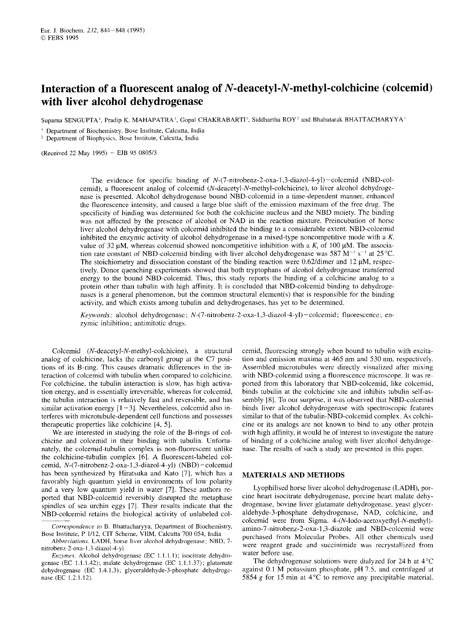# **Interaction of a fluorescent analog of N-deacetyl-N-methyl-colchicine (colcemid) with liver alcohol dehydrogenase**  Og of N**-deacetyl-N-methyl-colchicine (colcemid)**<br>e<br><sub>CHAKRABARTI', Siddhartha ROY<sup>2</sup> and Bhabatarak BHATTACHARYYA'<br><sup>lia</sup></sub>

Suparna SENGUPTA', Pradip K. MAHAPATRA', Gopal

' Department of Biochemistry, Bose Institute, Calcutta, India

Department of Biophysics, Bose Institute, Calcutta, India

(Received 22 May 1995) - EJB 95 0805/3

The evidence for specific binding of *N*-(7-nitrobenz-2-oxa-1,3-diazol-4-yl) – colcemid (NBD-col-<br>The evidence for specific binding of *N*-(7-nitrobenz-2-oxa-1,3-diazol-4-yl) – colcemid (NBD-col-<br>id), a fluorescent analog cemid), a fluorescent analog of colcemid **(N-deacetyl-N-methyl-colchicine),** to liver alcohol dehydrogenase is presented. Alcohol dehydrogenase bound NBD-colcemid in a time-dependent manner, enhanced the fluorescence intensity, and caused a large blue shift of the emission maximum of the free drug. The specificity of binding was determined for both the colchicine nucleus and the NBD moiety. The binding was not affected by the presence of alcohol or NAD in the reaction mixture. Preincubation of horsc liver alcohol dehydrogenase with colcemid inhibited the binding to a considerable extent. NBD-colcemid inhibited the enzymic activity of alcohol dehydrogenase in a mixed-type noncompetitive mode with a  $K_i$ cemid), a fluorescent analog of colcemid (*N*-deacetyl-*N*-methyl-colchicine), to liver alcohol dehydroge-<br>nase is presented. Alcohol dehydrogenase bound NBD-colcemid in a time-dependent manner, enhanced<br>the fluorescence i value of 32  $\mu$ M, whereas colcemid showed noncompetitive inhibition with a  $K_i$  of 100  $\mu$ M. The association rate constant of NBD-colcemid binding with liver alcohol dehydrogenase was 587 M<sup>-1</sup> s<sup>-1</sup> at 25 °C. The stoichiometry and dissociation constant of the binding reaction were  $0.62$ /dimer and  $12 \mu$ M, respectively. Donor quenching experiments showed that both tryptophans of alcohol dehydrogenase transferred energy to the bound NBD-colcemid. Thus, this study reports the binding of a colchicine analog to a protein other than tubulin with high affinity. It is concluded that NBD-colcemid binding to dehydrogenases is a general phenomenon, but the common structural element(s) that is responsible for the binding activity, and which exists among tubulin and dehydrogenases, has yet to be determined.

*Keywords:* alcohol dehydrogenase; **N-(7-nitrobenz-2-oxa-1,3-diazol-4-yl)-colcemid;** fluorescence; enzymic inhibition; antimitotic drugs.

Colcemid **(N-deacetyl-N-methyl-colchicine),** a structural analog of colchicine, lacks the carbonyl group at the C7 positions of its B-ring. This causes dramatic differences in the interaction of colcemid with tubulin when compared to colchicine. For colchicine, the tubulin interaction is slow, has high activation energy, and is essentially irreversible, whereas for colcemid, the tubulin interaction is relatively fast and reversible, and has similar activation energy  $[1-3]$ . Nevertheless, colcemid also interferes with microtubule-dependent cell functions and possesses therapeutic properties like colchicine [4, 5].

We are interested in studying the role of the B-rings of colchicine and colcemid in their binding with tubulin. Unfortunately, the colcemid-tubulin complex is non-fluorescent unlike the colchicine-tubulin complex 161. A fluorescent-labeled colcemid, *N*-(7-nitrobenz-2-oxa-1,3-diazol-4-yl) (NBD) - colcemid has been synthesized by Hiratsuka and Kato [7], which has a favorably high quantum yield in environments of low polarity and a very low quantum yield in water [7]. These authors reported that NBD-colcemid reversibly disrupted the metaphase spindles of sea urchin eggs [7]. Their results indicate that the NBD-colcemid retains the biological activity of unlabeled colcemid, fluorescing strongly when bound to tubulin with excitation and emission maxima at 465 nm and 530 nm, respectively. Assembled microtubules werc directly visualized after mixing with NBD-colcemid using a fluorescence microscope. It was reported from this laboratory that NBD-colcemid, like colcemid, binds tubulin at the colchicine site and inhibits tubulin self-assembly [8]. To our surprise, it was observed that NBD-colcemid binds liver alcohol dehydrogenase with spectroscopic features similar to that of the tubulin-NBD-colcemid complex. As colchicine or its analogs are not known to bind to any other protein with high affinity, it would be of interest to investigate the nature of binding of a colchicine analog with liver alcohol dehydrogenase. The results of such a study are presented in this paper.

### **MATERIALS AND METHODS**

These authors re-<br>
The metaphase cine heart isocitrate dehydrogenase, porcine heart malate dehy-<br>
indicate that the drogenase, bovine liver glutamate dehydrogenase, yeast glycer-<br>
of unlabeled col-<br>
aldehyde-3-phosphate de Governaspondence to B. Bhattacharyya, Department of Biochemistry,<br>
Bose Institute, P 1/12, CIT Scheme, VIIM, Calcutta 700 054, India<br>
Abbreviations. LADH, horse liver alcohol dehydrogenase; NBD, 7-<br>
introbenz-2-oxa-1,3-dia Lyophilised horse liver alcohol dehydrogenase (LADH), porcine heart isocitrate dehydrogenase, porcine heart malate dehydrogenase, bovine liver glutamate dehydrogenase, yeast glyceraldehyde-3-phosphate dehydrogenase, NAD, colchicine, and colcemid were from Sigma. **4-(N-Iodo-acetoxyethyI-N-methyl) amino-7-nitrobenz-2-oxa-1,3-diazole** and NBD-colcemid were purchased from Molecular Probes. All other chemicals used were reagent grade and succinimidc was recrystallized from water before use.

The dehydrogenase solutions were dialyzed for 24 h at  $4^{\circ}$ C against 0.1 M potassium phosphate, pH 7.5, and centrifuged at 5854 g for 15 min at 4°C to remove any precipitable material.

*Correspondence to* B. Bhattacharyya, Department of Biochemistry, Bose Institute, P 1/12, CIT Scheme, VIIM, Calcutta

*Ahbreviations.*  **LADH,**  horse liver alcohol dehydrogenase; NBD, nitrobenz-2-oxa-1,3-diazol-4-yl.

*Enzynrs.* Alcohol dehydrogenase (EC 1.1.1 .I); isocitrate dehydrodehydrogenase (EC 1.4.1.3); glyceraldehyde-3-phosphate dehydrogenase (EC 1.2.1.12).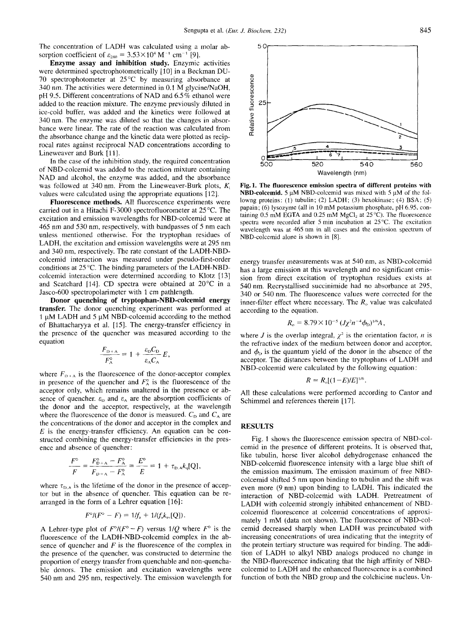The concentration of LADH was calculated using a molar ab-

**Enzyme assay and inhibition study.** Enzymic activities were determined spectrophotometrically [10] in a Beckman DU-70 spectrophotometer at  $25^{\circ}$ C by measuring absorbance at 340 nm. The activities were determined in 0.1 M glycine/NaOH, pH 9.5. Different concentrations of NAD and 6.5 % ethanol were added to the reaction mixture. The enzyme previously diluted in ice-cold buffer, was added and the kinetics were followed at 340 nm. The enzyme was diluted so that the changes in absorbance were linear. The rate of the reaction was calculated from the absorbance change and the kinetic data were plotted as reciprocal rates against reciprocal NAD concentrations according to Lineweaver and Burk [11].

In the case of the inhibition study, the required concentration of NBD-colcemid was added to the reaction mixture containing NAD and alcohol, the enzyme was added, and the absorbance was followed at 340 nm. From the Lineweaver-Burk plots,  $K_i$ values were calculated using the appropriate equations [ 121.

**Fluorescence methods.** All fluorescence experiments were carried out in a Hitachi F-3000 spectrofluorometer at 25°C. The excitation and emission wavelengths for NBD-colcemid were at 465 nm and 530 nm, respectively, with bandpasses of 5 nm each unless mentioned otherwise. For the tryptophan residues of LADH, the excitation and emission wavelengths were at 295 nm and 340 nm, respectively. The rate constant of the LADH-NBDcolcemid interaction was measured under pseudo-first-order conditions at 25 "C. The binding parameters of the LADH-NBDcolcemid interaction were determined according to Klotz [13] and Scatchard [14]. CD spectra were obtained at 20°C in a Jasco-600 spectropolarimeter with 1 cm pathlength.

**Donor quenching of tryptophan-NBD-colcemid energy transfer.** The donor quenching experiment was performed at 1 **pM** LADH and *5* **pM** NBD-colcemid according to the method of Bhattacharyya et al. [IS]. The energy-transfer efficiency in the presence of the quencher was measured according to the equation

$$
\frac{F_{\rm D+A}}{F_{\rm A}^{\rm o}}=1+\frac{\varepsilon_{\rm D}C_{\rm D}}{\varepsilon_{\rm A}C_{\rm A}}E,
$$

where  $F_{\text{p+A}}$  is the fluorescence of the donor-acceptor complex in presence of the quencher and  $F_A^{\circ}$  is the fluorescence of the acceptor only, which remains unaltered in the presence or ab-E<sub>D<sup>+A</sup></sub> = 1 +  $\frac{\varepsilon_{D}C_{D}}{\varepsilon_{A}C_{A}}E$ , and  $\phi_{D}$  is the quantum yield of the donor in the absence of the acceptor. The distances between the tryptophans of LADH and where  $F_{D+\Lambda}$  is the fluorescence of the donor-a the donor and the acceptor, respectively, at the wavelength where the fluorescence of the donor is measured.  $C_{\rm p}$  and  $C_{\rm A}$  are the concentrations of the donor and acceptor in the complex and *E* is the energy-transfer efficiency. An equation can be constructed combining the energy-transfer efficiencies in the presence and absence of quencher:

$$
\frac{F^{\circ}}{F} = \frac{F_{D+A}^{\circ} - F_A^{\circ}}{F_{D+A} - F_A^{\circ}} = \frac{E^{\circ}}{E} = 1 + \tau_{D,A} k_q [Q],
$$

where  $\tau_{\text{D,A}}$  is the lifetime of the donor in the presence of acceptor but in the absence of quencher. This equation can be rearranged in the form of a Lehrer equation [16]:

$$
F^{\circ}/(F^{\circ} - F) = 1/f_{\rm a} + 1/(f_{\rm a}k_{\rm s}[(Q]).
$$

A Lehrer-type plot of  $F^{\circ}/(F^{\circ} - F)$  versus  $1/Q$  where  $F^{\circ}$  is the fluorescence of the LADH-NBD-colcemid complex in the absence of quencher and *F* is the fluorescence of the complex in the presence of the quencher, was constructed to determine the proportion of energy transfer from quenchable and non-quenchable donors. The emission and excitation wavelengths were



**Fig. 1. The fluorescence emission spectra of different proteins with NBD-colcemid.** 5 **pM** NBD-colcemid was mixed with *5* **pM** of the followng proteins: **(1)** tubulin; (2) LADH; (3) hexokinase; (4) BSA; *(5)*  papain; (6) lysozyme (all in 10 mM potassium phosphate, pH 6.95, containing  $0.5$  mM EGTA and  $0.25$  mM MgCl<sub>2</sub> at  $25^{\circ}$ C). The fluorescence spectra were recorded after *5* min incubation at 25°C. The excitation wavelength was at 465 nm in all cases and the emission spectrum of NBD-colcemid alone is shown in [8].

energy transfer measurements was at 540 nm, as NBD-colcemid has a large emission at this wavelength and no significant emission from direct excitation of tryptophan residues exists at 540 nm. Recrystallised succinimide had no absorbance at 295, 340 or 540 nm. The fluorescence values were corrected for the inner-filter effect where necessary. The  $R<sub>o</sub>$  value was calculated according to the equation.

$$
R_{\rm o}=8.79\times10^{-5}\,(J\chi^2n^{-4}\phi_{\rm D})^{1/6}A\,,
$$

where *J* is the overlap integral,  $\chi^2$  is the orientation factor, *n* is the refractive index of the medium between donor and acceptor, and  $\phi_{\rm D}$  is the quantum yield of the donor in the absence of the acceptor. The distances between the tryptophans of LADH and NBD-colcemid were calculated by the following equation :

$$
R = R_{\rm o}[(1-E)/E]^{1/6}.
$$

All these calculations were performed according to Cantor and Schimmel and references therein [17].

#### **RESULTS**

**F"**,  $E_0$  and  $E_4$  and  $E_5$  and  $E_6$  and  $E_7$  and  $E_8$  and  $E_7$  and  $E_8$  and  $E_8$  and  $E_7$  and  $E_8$  and  $E_8$  and  $E_8$  and  $E_8$  and  $E_8$  and  $E_8$  and  $E_8$  and  $E_8$  and  $E_8$  and  $E_8$  and  $E_8$  and  $E_8$ A Lehrer-type plot of  $F^{\circ}/(F^{\circ} - F)$  versus 1/Q where  $F^{\circ}$  is the cannot decreased sharply when LADH was preinculated with fluorescence of the LADH-NBD-colcemid complex in the abineceasing concentrations of urea indi Fig. 1 shows the fluorescence emission spectra of NBD-colcemid in the presence of different proteins. It is observed that, like tubulin, horse liver alcohol dehydrogenase enhanced the NBD-colcemid fluorescence intensity with a large blue shift of the emission maximum. The emission maximum of free NBDcolcemid shifted *5* nm upon binding to tubulin and the shift was even more (9 nm) upon binding to LADH. This indicated the interaction of NBD-colcemid with LADH. Pretreatment of LADH with colcemid strongly inhibited enhancement of NBDcolcemid fluorescence at colcemid concentrations of approximately 1 mM (data not shown). The fluorescence of NBD-colcemid decreased sharply when LADH was preincubated with increasing concentrations of urea indicating that the integrity of the protein tertiary structure was required for binding. The addition of LADH to alkyl NBD analogs produced no change in the NBD-fluorescence indicating that the high affinity of NBDcolcemid to LADH and the enhanced fluorescence is a combined function of both the NBD group and the colchicine nucleus. Un-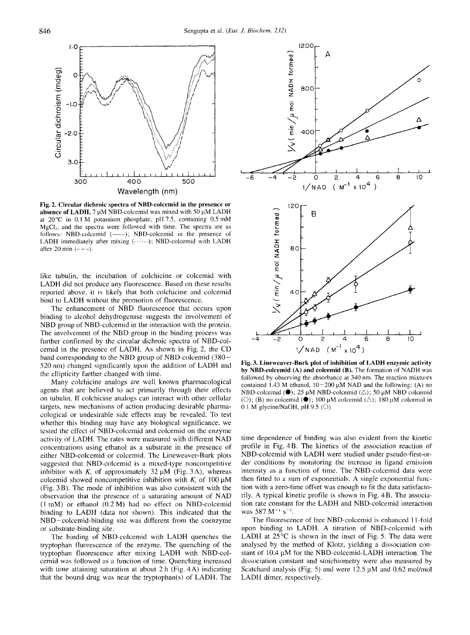

**Fig. 2. Circular dichroic spectra of NBD-colcemid in absence of LADH. 7** pM NBD-colcemid was mixed with 50 **pM** LADH at 20°C in 0.1 M potassium phosphate, pH 7.5, containing 0.5 mM  $MgCl<sub>2</sub>$ , and the spectra were followed with time. The spectra are as follows: NBD-colcemid  $(--)$ ; NBD-colcemid in the presence of LADH immediately after mixing  $(\cdots \cdots)$ ; NBD-colcemid with LADH after 20 min  $(- - -)$ .

like tubulin, the incubation of colchicine or colcemid with LADH did not produce any fluorescence. Based on these results reported above, it is likely that both colchicine and colcemid bind to LADH without the promotion of fluorescence.

The enhancement of NBD fluorescence that occurs upon binding to alcohol dehydrogenase suggests the involvement of NBD group of NBD-colcemid in the interaction with the protein. The involvement of the NBD group in the binding process was further confirmed by the circular dichroic spectra of NBD-colcemid in the presence of LADH. As shown in Fig. 2, the CD band corresponding to the NBD group of NBD-colcemid (380- 520 nm) changed significantly upon the addition of LADH and the ellipticity further changed with time.

Many colchicine analogs are well known pharmacological agents that are believed to act primarily through their effects on tubulin. If colchicine analogs can interact with other cellular targets, new mechanisms of action producing desirable pharmacological or undesirable side effects may be revealed. To test whether this binding may have any biological significance, we tested the effect of NBD-colcemid and colcemid on the enzyme activity of LADH. The rates were measured with different NAD concentrations using ethanol as a substrate in the presence of either NBD-colcemid or colcemid. The Lineweaver-Burk plots suggested that NBD-colcemid is a mixed-type noncompetitive inhibitor with  $K_i$  of approximately 32  $\mu$ M (Fig. 3A), whereas colcemid showed noncompetitive inhibition with  $K_i$  of 100  $\mu$ M (Fig. 3 B). The mode of inhibition was also consistent with the observation that the presence of a saturating amount of NAD (1 mM) or ethanol (0.2 M) had no effect on NBD-colcemid binding to LADH (data not shown). This indicated that the NBD-colcemid-binding site was different from the coenzyme or substrate-binding site.

The binding of NBD-colcemid with LADH quenches the tryptophan fluorescence of the enzyme. The quenching of the tryptophan fluorescence after mixing LADH with NBD-colcemid was followed as a function of time. Quenching increased with time attaining saturation at about 2 h (Fig. 4A) indicating that the bound drug was near the tryptophan(s) of LADH. The



**Fig. 3. Lineweaver-Burk plot of inhibition of LADH enzymic activity by NBD-colcemid (A) and colcemid (B).** The formation of NADH was followed by observing the absorbance at 340 nm. The reaction mixtures contained 1.43 M ethanol,  $10-200 \mu M$  NAD and the following: (A) no NBD-colcemid **(0)**; 25  $\mu$ M NBD-colcemid ( $\Delta$ ); 50  $\mu$ M NBD colcemid (O); (B) no colcemid  $(\bullet)$ ; 100  $\mu$ M colcemid  $(\triangle)$ ; 180  $\mu$ M colcemid in 0.1 M glycine/NaOH, pH 9.5 ( $\circ$ ).

time dependence of binding was also evident from the kinetic profile in Fig. 4B. The kinetics of the association reaction of NBD-colcemid with LADH were studied under pseudo-first-order conditions by monitoring the increase in ligand emission intensity as a function of time. The NBD-colcemid data were then fitted to a sum of exponentials. A single exponential function with a zero-time offset was enough to fit the data satisfactorily. A typical kinetic profile is shown in Fig. 4B. The association rate constant for the LADH and NBD-colcemid interaction was 587 M<sup>-1</sup> s<sup>-1</sup>.

The fluorescence of free NBD-colcemid is enhanced 11-fold upon binding to LADH. A titration of NBD-colcemid with LADH at 25°C is shown in the inset of Fig. *5.* The data were analysed by the method of Klotz, yielding a dissociation constant of 10.4  $\mu$ M for the NBD-colcemid-LADH interaction. The dissociation constant and stoichiometry were also measured by Scatchard analysis (Fig. 5) and were 12.5  $\mu$ M and 0.62 mol/mol LADH dimer, respectively.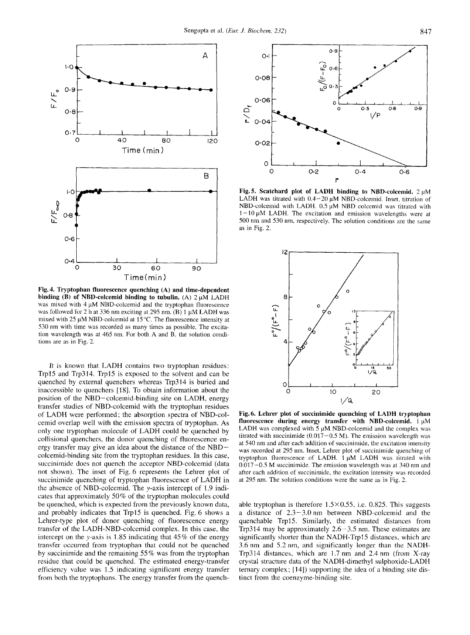

**Fig. 4. Tryptophan fluorescence quenching (A) and time-dependent binding (B) of NBD-colcemid binding to tubulin. (A)**  $2 \mu M$  **LADH** was mixed with  $4 \mu M$  NBD-colcemid and the tryptophan fluorescence was followed for 2 h at 336 nm exciting at 295 nm. (B) 1  $\mu$ M LADH was mixed with 25 **pM** NBD-colcemid at 15°C. The fluorescence intensity at 530 nm with time was recorded as many times as possible. The excitation wavelength was at 465 nm. For both A and B, the solution conditions are as in Fig. 2.

**It** is known that LADH contains two tryptophan residues: Trpl5 and Trp314. Trpl5 is exposed to the solvent and can be quenched by external quenchers whereas Trp314 is buried and inaccessible to quenchers [IS]. To obtain information about the position of the NBD-colcemid-binding site on LADH, energy transfer studies of NBD-colcemid with the tryptophan residues of LADH were performed; the absorption spectra of NBD-colcemid overlap well with the emission spectra of tryptophan. As only one tryptophan molecule of LADH could be quenched by collisional quenchers, the donor quenching of fluorescence energy transfer may give an idea about the distance of the NBDcolcemid-binding site from the tryptophan residues. In this case, succinimide does not quench the acceptor NBD-colcemid (data not shown). The inset of Fig. 6 represents the Lehrer plot of succinimide quenching of tryptophan fluorescence of LADH in the absence of NBD-colcemid. The y-axis intercept of **2.9** indicates that approximately 50% of the tryptophan molecules could be quenched, which is expected from the previously known data, and probably indicates that Trpl5 is quenched. Fig. 6 shows a Lehrer-type plot of donor quenching of fluorescence energy transfer of the LADH-NBD-colcemid complex. In this case, the intercept on the y-axis is 1.85 indicating that 45 % of the energy transfer occurred from tryptophan that could not be quenched by succinimide and the remaining 55% was from the tryptophan residue that could be quenched. The estimated energy-transfer efficiency value was 1.5 indicating significant energy transfer from both the tryptophans. The energy transfer from the quench-



**Fig.5. Scatchard plot of LADH binding to NBD-colcemid.** 2 pM LADH was titrated with  $0.4 - 20 \mu M$  NBD-colcemid. Inset, titration of NBD-colcemid with LADH.  $0.5 \mu M$  NBD colcemid was titrated with  $1 - 10 \mu M$  LADH. The excitation and emission wavelengths were at 500 nm and 530 nm, respectively. The solution conditions are the same as in Fig. 2.



**Fig. 6. Lehrer plot of succinimide quenching of LADH tryptophan**  fluorescence during energy transfer with NBD-colcemid. 1  $\mu$ M LADH was complexed with 5  $\mu$ M NBD-colcemid and the complex was titrated with succinimide  $(0.017-0.5 \text{ M})$ . The emission wavelength was at 540 nni and after each addition of succinimide, the excitation intensity was recorded at 295 nm. Inset, Lehrer plot of succinimide quenching of tryptophan fluorescence of LADH. 1 **pM** LADH was titrated with 0.017-0.5 M succinimide. The emission wavelength was at 340 nm and after each addition of succinimide, the excitation intensity was recorded at 295 nm. The solution conditions were the same as in Fig. 2.

able tryptophan is therefore  $1.5 \times 0.55$ , i.e. 0.825. This suggests a distance of  $2.3 - 3.0$  nm between NBD-colcemid and the quenchable Trpl5. Similarly, the estimated distances from Trp314 may be approximately  $2.6 - 3.5$  nm. These estimates are significantly shorter than the NADH-Trp15 distances, which are 3.6 nm and *5.2* nm, and significantly longer than the NADH-Trp314 distances, which are **1.7** nm and 2.4 nm (from X-ray crystal structure data of the NADH-dimethyl sulphoxide-LADH ternary complex; [14]) supporting the idea of a binding site distinct from the coenzyme-binding site.